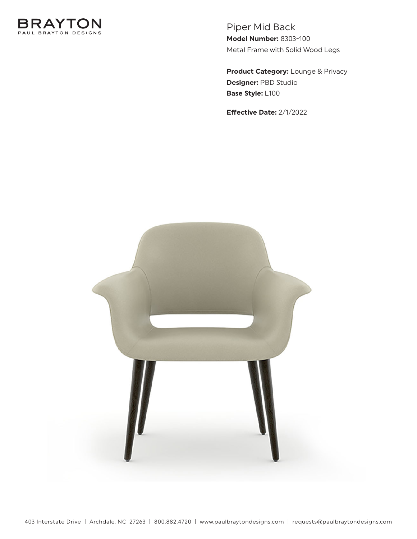

Piper Mid Back **Model Number:** 8303-100 Metal Frame with Solid Wood Legs

**Product Category:** Lounge & Privacy **Designer:** PBD Studio **Base Style:** L100

**Effective Date:** 2/1/2022